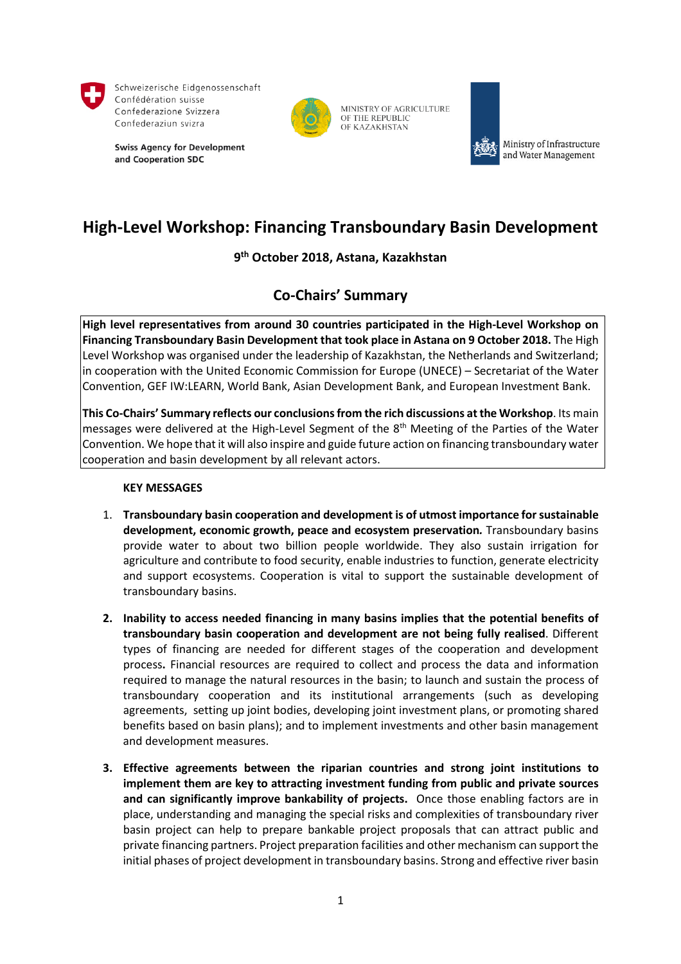

Schweizerische Eidgenossenschaft Confédération suisse Confederazione Svizzera Confederaziun svizra

**Swiss Agency for Development** and Cooperation SDC



MINISTRY OF AGRICULTURE OF THE REPUBLIC OF KAZAKHSTAN



Ministry of Infrastructure and Water Management

# **High-Level Workshop: Financing Transboundary Basin Development**

**9th October 2018, Astana, Kazakhstan**

## **Co-Chairs' Summary**

**High level representatives from around 30 countries participated in the High-Level Workshop on Financing Transboundary Basin Development that took place in Astana on 9 October 2018.** The High Level Workshop was organised under the leadership of Kazakhstan, the Netherlands and Switzerland; in cooperation with the United Economic Commission for Europe (UNECE) – Secretariat of the Water Convention, GEF IW:LEARN, World Bank, Asian Development Bank, and European Investment Bank.

**This Co-Chairs' Summary reflects our conclusions from the rich discussions at the Workshop**. Its main messages were delivered at the High-Level Segment of the 8<sup>th</sup> Meeting of the Parties of the Water Convention. We hope that it will also inspire and guide future action on financing transboundary water cooperation and basin development by all relevant actors.

### **KEY MESSAGES**

- 1. **Transboundary basin cooperation and development is of utmost importance for sustainable development, economic growth, peace and ecosystem preservation***.* Transboundary basins provide water to about two billion people worldwide. They also sustain irrigation for agriculture and contribute to food security, enable industries to function, generate electricity and support ecosystems. Cooperation is vital to support the sustainable development of transboundary basins.
- **2. Inability to access needed financing in many basins implies that the potential benefits of transboundary basin cooperation and development are not being fully realised**. Different types of financing are needed for different stages of the cooperation and development process**.** Financial resources are required to collect and process the data and information required to manage the natural resources in the basin; to launch and sustain the process of transboundary cooperation and its institutional arrangements (such as developing agreements, setting up joint bodies, developing joint investment plans, or promoting shared benefits based on basin plans); and to implement investments and other basin management and development measures.
- **3. Effective agreements between the riparian countries and strong joint institutions to implement them are key to attracting investment funding from public and private sources and can significantly improve bankability of projects.** Once those enabling factors are in place, understanding and managing the special risks and complexities of transboundary river basin project can help to prepare bankable project proposals that can attract public and private financing partners. Project preparation facilities and other mechanism can support the initial phases of project development in transboundary basins. Strong and effective river basin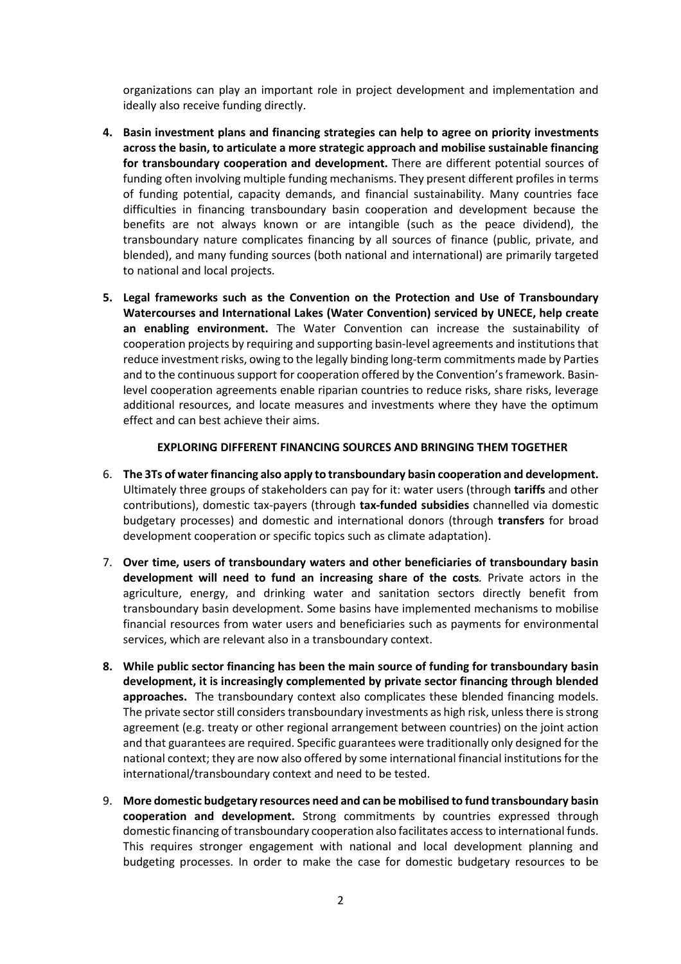organizations can play an important role in project development and implementation and ideally also receive funding directly.

- **4. Basin investment plans and financing strategies can help to agree on priority investments across the basin, to articulate a more strategic approach and mobilise sustainable financing for transboundary cooperation and development.** There are different potential sources of funding often involving multiple funding mechanisms. They present different profiles in terms of funding potential, capacity demands, and financial sustainability. Many countries face difficulties in financing transboundary basin cooperation and development because the benefits are not always known or are intangible (such as the peace dividend), the transboundary nature complicates financing by all sources of finance (public, private, and blended), and many funding sources (both national and international) are primarily targeted to national and local projects.
- **5. Legal frameworks such as the Convention on the Protection and Use of Transboundary Watercourses and International Lakes (Water Convention) serviced by UNECE, help create an enabling environment.** The Water Convention can increase the sustainability of cooperation projects by requiring and supporting basin-level agreements and institutions that reduce investment risks, owing to the legally binding long-term commitments made by Parties and to the continuous support for cooperation offered by the Convention's framework. Basinlevel cooperation agreements enable riparian countries to reduce risks, share risks, leverage additional resources, and locate measures and investments where they have the optimum effect and can best achieve their aims.

#### **EXPLORING DIFFERENT FINANCING SOURCES AND BRINGING THEM TOGETHER**

- 6. **The 3Ts of water financing also apply to transboundary basin cooperation and development.**  Ultimately three groups of stakeholders can pay for it: water users (through **tariffs** and other contributions), domestic tax-payers (through **tax-funded subsidies** channelled via domestic budgetary processes) and domestic and international donors (through **transfers** for broad development cooperation or specific topics such as climate adaptation).
- 7. **Over time, users of transboundary waters and other beneficiaries of transboundary basin development will need to fund an increasing share of the costs***.* Private actors in the agriculture, energy, and drinking water and sanitation sectors directly benefit from transboundary basin development. Some basins have implemented mechanisms to mobilise financial resources from water users and beneficiaries such as payments for environmental services, which are relevant also in a transboundary context.
- **8. While public sector financing has been the main source of funding for transboundary basin development, it is increasingly complemented by private sector financing through blended approaches.** The transboundary context also complicates these blended financing models. The private sector still considers transboundary investments as high risk, unless there is strong agreement (e.g. treaty or other regional arrangement between countries) on the joint action and that guarantees are required. Specific guarantees were traditionally only designed for the national context; they are now also offered by some international financial institutions for the international/transboundary context and need to be tested.
- 9. **More domestic budgetary resources need and can be mobilised to fund transboundary basin cooperation and development.** Strong commitments by countries expressed through domestic financing of transboundary cooperation also facilitates access to international funds. This requires stronger engagement with national and local development planning and budgeting processes. In order to make the case for domestic budgetary resources to be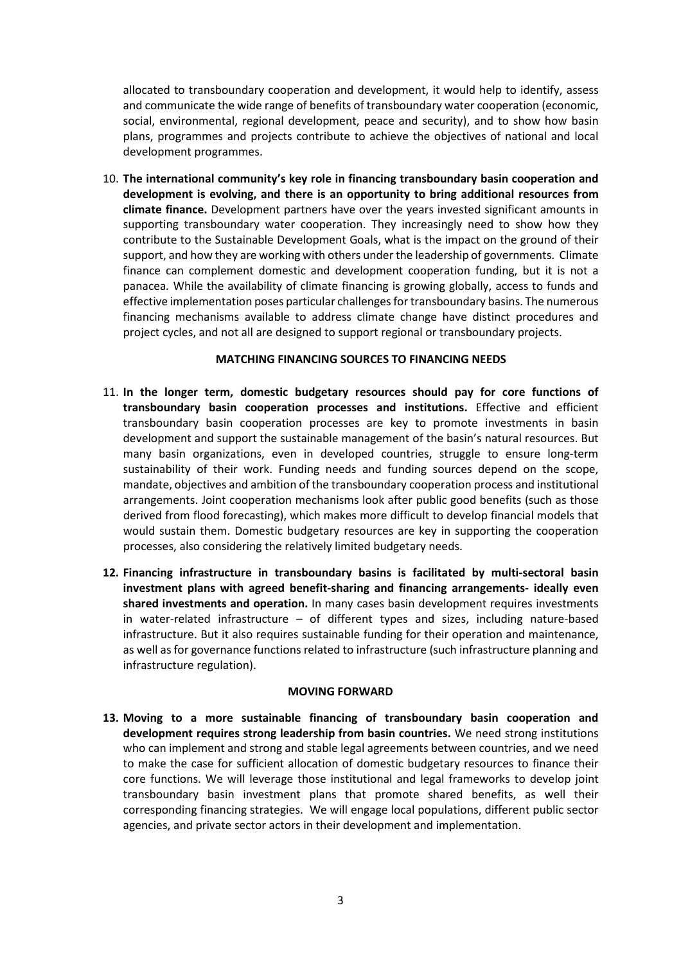allocated to transboundary cooperation and development, it would help to identify, assess and communicate the wide range of benefits of transboundary water cooperation (economic, social, environmental, regional development, peace and security), and to show how basin plans, programmes and projects contribute to achieve the objectives of national and local development programmes.

10. **The international community's key role in financing transboundary basin cooperation and development is evolving, and there is an opportunity to bring additional resources from climate finance.** Development partners have over the years invested significant amounts in supporting transboundary water cooperation. They increasingly need to show how they contribute to the Sustainable Development Goals, what is the impact on the ground of their support, and how they are working with others under the leadership of governments. Climate finance can complement domestic and development cooperation funding, but it is not a panacea*.* While the availability of climate financing is growing globally, access to funds and effective implementation poses particular challenges for transboundary basins. The numerous financing mechanisms available to address climate change have distinct procedures and project cycles, and not all are designed to support regional or transboundary projects.

#### **MATCHING FINANCING SOURCES TO FINANCING NEEDS**

- 11. **In the longer term, domestic budgetary resources should pay for core functions of transboundary basin cooperation processes and institutions.** Effective and efficient transboundary basin cooperation processes are key to promote investments in basin development and support the sustainable management of the basin's natural resources. But many basin organizations, even in developed countries, struggle to ensure long-term sustainability of their work. Funding needs and funding sources depend on the scope, mandate, objectives and ambition of the transboundary cooperation process and institutional arrangements. Joint cooperation mechanisms look after public good benefits (such as those derived from flood forecasting), which makes more difficult to develop financial models that would sustain them. Domestic budgetary resources are key in supporting the cooperation processes, also considering the relatively limited budgetary needs.
- **12. Financing infrastructure in transboundary basins is facilitated by multi-sectoral basin investment plans with agreed benefit-sharing and financing arrangements- ideally even shared investments and operation.** In many cases basin development requires investments in water-related infrastructure – of different types and sizes, including nature-based infrastructure. But it also requires sustainable funding for their operation and maintenance, as well as for governance functions related to infrastructure (such infrastructure planning and infrastructure regulation).

#### **MOVING FORWARD**

**13. Moving to a more sustainable financing of transboundary basin cooperation and development requires strong leadership from basin countries.** We need strong institutions who can implement and strong and stable legal agreements between countries, and we need to make the case for sufficient allocation of domestic budgetary resources to finance their core functions. We will leverage those institutional and legal frameworks to develop joint transboundary basin investment plans that promote shared benefits, as well their corresponding financing strategies. We will engage local populations, different public sector agencies, and private sector actors in their development and implementation.